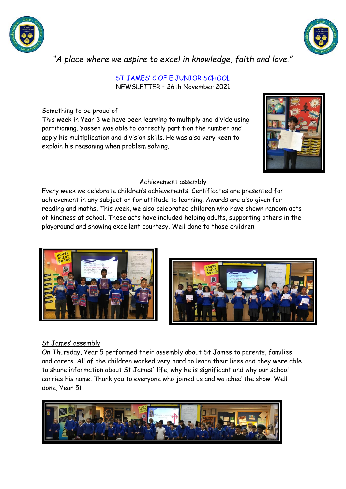



*"A place where we aspire to excel in knowledge, faith and love."*

#### ST JAMES' C OF E JUNIOR SCHOOL NEWSLETTER – 26th November 2021

# Something to be proud of

This week in Year 3 we have been learning to multiply and divide using partitioning. Yaseen was able to correctly partition the number and apply his multiplication and division skills. He was also very keen to explain his reasoning when problem solving.



## Achievement assembly

Every week we celebrate children's achievements. Certificates are presented for achievement in any subject or for attitude to learning. Awards are also given for reading and maths. This week, we also celebrated children who have shown random acts of kindness at school. These acts have included helping adults, supporting others in the playground and showing excellent courtesy. Well done to those children!





# St James' assembly

On Thursday, Year 5 performed their assembly about St James to parents, families and carers. All of the children worked very hard to learn their lines and they were able to share information about St James' life, why he is significant and why our school carries his name. Thank you to everyone who joined us and watched the show. Well done, Year 5!